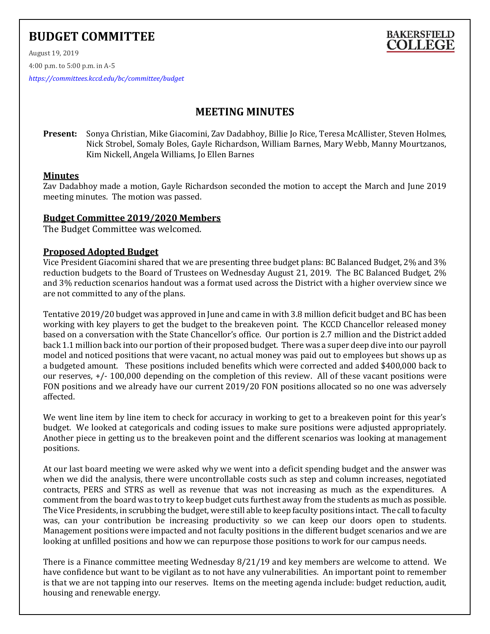# **BUDGET COMMITTEE**



August 19, 2019

4:00 p.m. to 5:00 p.m. in A-5

*<https://committees.kccd.edu/bc/committee/budget>*

# **MEETING MINUTES**

**Present:** Sonya Christian, Mike Giacomini, Zav Dadabhoy, Billie Jo Rice, Teresa McAllister, Steven Holmes, Nick Strobel, Somaly Boles, Gayle Richardson, William Barnes, Mary Webb, Manny Mourtzanos, Kim Nickell, Angela Williams, Jo Ellen Barnes

# **Minutes**

Zav Dadabhoy made a motion, Gayle Richardson seconded the motion to accept the March and June 2019 meeting minutes. The motion was passed.

# **Budget Committee 2019/2020 Members**

The Budget Committee was welcomed.

# **Proposed Adopted Budget**

Vice President Giacomini shared that we are presenting three budget plans: BC Balanced Budget, 2% and 3% reduction budgets to the Board of Trustees on Wednesday August 21, 2019. The BC Balanced Budget, 2% and 3% reduction scenarios handout was a format used across the District with a higher overview since we are not committed to any of the plans.

Tentative 2019/20 budget was approved in June and came in with 3.8 million deficit budget and BC has been working with key players to get the budget to the breakeven point. The KCCD Chancellor released money based on a conversation with the State Chancellor's office. Our portion is 2.7 million and the District added back 1.1 million back into our portion of their proposed budget. There was a super deep dive into our payroll model and noticed positions that were vacant, no actual money was paid out to employees but shows up as a budgeted amount. These positions included benefits which were corrected and added \$400,000 back to our reserves, +/- 100,000 depending on the completion of this review. All of these vacant positions were FON positions and we already have our current 2019/20 FON positions allocated so no one was adversely affected.

We went line item by line item to check for accuracy in working to get to a breakeven point for this year's budget. We looked at categoricals and coding issues to make sure positions were adjusted appropriately. Another piece in getting us to the breakeven point and the different scenarios was looking at management positions.

At our last board meeting we were asked why we went into a deficit spending budget and the answer was when we did the analysis, there were uncontrollable costs such as step and column increases, negotiated contracts, PERS and STRS as well as revenue that was not increasing as much as the expenditures. A comment from the board was to try to keep budget cuts furthest away from the students as much as possible. The Vice Presidents, in scrubbing the budget, were still able to keep faculty positions intact. The call to faculty was, can your contribution be increasing productivity so we can keep our doors open to students. Management positions were impacted and not faculty positions in the different budget scenarios and we are looking at unfilled positions and how we can repurpose those positions to work for our campus needs.

There is a Finance committee meeting Wednesday 8/21/19 and key members are welcome to attend. We have confidence but want to be vigilant as to not have any vulnerabilities. An important point to remember is that we are not tapping into our reserves. Items on the meeting agenda include: budget reduction, audit, housing and renewable energy.